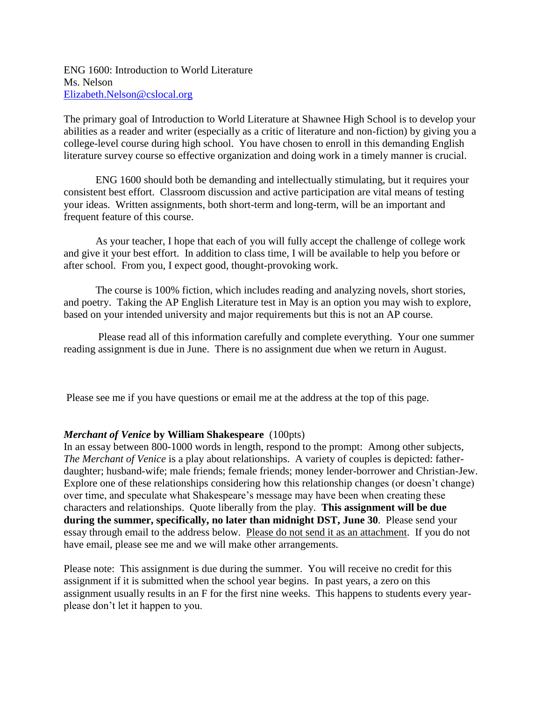ENG 1600: Introduction to World Literature Ms. Nelson [Elizabeth.Nelson@cslocal.org](mailto:Elizabeth.Nelson@cslocal.org)

The primary goal of Introduction to World Literature at Shawnee High School is to develop your abilities as a reader and writer (especially as a critic of literature and non-fiction) by giving you a college-level course during high school. You have chosen to enroll in this demanding English literature survey course so effective organization and doing work in a timely manner is crucial.

ENG 1600 should both be demanding and intellectually stimulating, but it requires your consistent best effort. Classroom discussion and active participation are vital means of testing your ideas. Written assignments, both short-term and long-term, will be an important and frequent feature of this course.

As your teacher, I hope that each of you will fully accept the challenge of college work and give it your best effort. In addition to class time, I will be available to help you before or after school. From you, I expect good, thought-provoking work.

The course is 100% fiction, which includes reading and analyzing novels, short stories, and poetry. Taking the AP English Literature test in May is an option you may wish to explore, based on your intended university and major requirements but this is not an AP course.

Please read all of this information carefully and complete everything. Your one summer reading assignment is due in June. There is no assignment due when we return in August.

Please see me if you have questions or email me at the address at the top of this page.

## *Merchant of Venice* **by William Shakespeare** (100pts)

In an essay between 800-1000 words in length, respond to the prompt: Among other subjects, *The Merchant of Venice* is a play about relationships. A variety of couples is depicted: fatherdaughter; husband-wife; male friends; female friends; money lender-borrower and Christian-Jew. Explore one of these relationships considering how this relationship changes (or doesn't change) over time, and speculate what Shakespeare's message may have been when creating these characters and relationships. Quote liberally from the play. **This assignment will be due during the summer, specifically, no later than midnight DST, June 30**. Please send your essay through email to the address below. Please do not send it as an attachment. If you do not have email, please see me and we will make other arrangements.

Please note: This assignment is due during the summer. You will receive no credit for this assignment if it is submitted when the school year begins. In past years, a zero on this assignment usually results in an F for the first nine weeks. This happens to students every yearplease don't let it happen to you.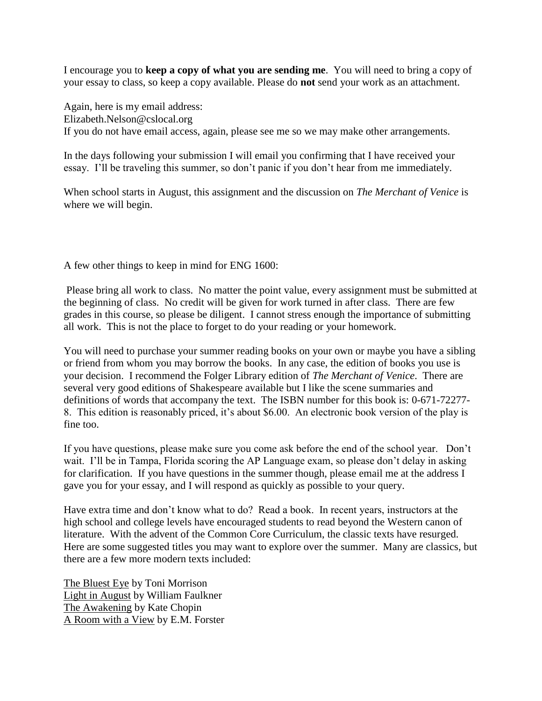I encourage you to **keep a copy of what you are sending me**. You will need to bring a copy of your essay to class, so keep a copy available. Please do **not** send your work as an attachment.

Again, here is my email address: Elizabeth.Nelson@cslocal.org If you do not have email access, again, please see me so we may make other arrangements.

In the days following your submission I will email you confirming that I have received your essay. I'll be traveling this summer, so don't panic if you don't hear from me immediately.

When school starts in August, this assignment and the discussion on *The Merchant of Venice* is where we will begin.

A few other things to keep in mind for ENG 1600:

Please bring all work to class. No matter the point value, every assignment must be submitted at the beginning of class. No credit will be given for work turned in after class. There are few grades in this course, so please be diligent. I cannot stress enough the importance of submitting all work. This is not the place to forget to do your reading or your homework.

You will need to purchase your summer reading books on your own or maybe you have a sibling or friend from whom you may borrow the books. In any case, the edition of books you use is your decision. I recommend the Folger Library edition of *The Merchant of Venice*. There are several very good editions of Shakespeare available but I like the scene summaries and definitions of words that accompany the text. The ISBN number for this book is: 0-671-72277- 8. This edition is reasonably priced, it's about \$6.00. An electronic book version of the play is fine too.

If you have questions, please make sure you come ask before the end of the school year. Don't wait. I'll be in Tampa, Florida scoring the AP Language exam, so please don't delay in asking for clarification. If you have questions in the summer though, please email me at the address I gave you for your essay, and I will respond as quickly as possible to your query.

Have extra time and don't know what to do? Read a book. In recent years, instructors at the high school and college levels have encouraged students to read beyond the Western canon of literature. With the advent of the Common Core Curriculum, the classic texts have resurged. Here are some suggested titles you may want to explore over the summer. Many are classics, but there are a few more modern texts included:

The Bluest Eye by Toni Morrison Light in August by William Faulkner The Awakening by Kate Chopin A Room with a View by E.M. Forster